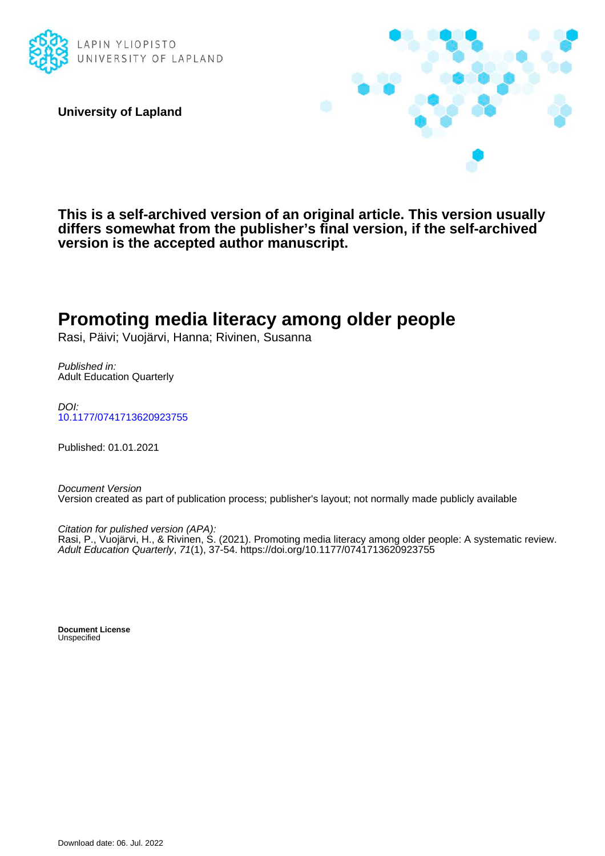

**University of Lapland**



**This is a self-archived version of an original article. This version usually differs somewhat from the publisher's final version, if the self-archived version is the accepted author manuscript.**

# **Promoting media literacy among older people**

Rasi, Päivi; Vuojärvi, Hanna; Rivinen, Susanna

Published in: Adult Education Quarterly

DOI: [10.1177/0741713620923755](https://doi.org/10.1177/0741713620923755)

Published: 01.01.2021

Document Version Version created as part of publication process; publisher's layout; not normally made publicly available

Citation for pulished version (APA):

Rasi, P., Vuojärvi, H., & Rivinen, S. (2021). Promoting media literacy among older people: A systematic review. Adult Education Quarterly, 71(1), 37-54. <https://doi.org/10.1177/0741713620923755>

**Document License** Unspecified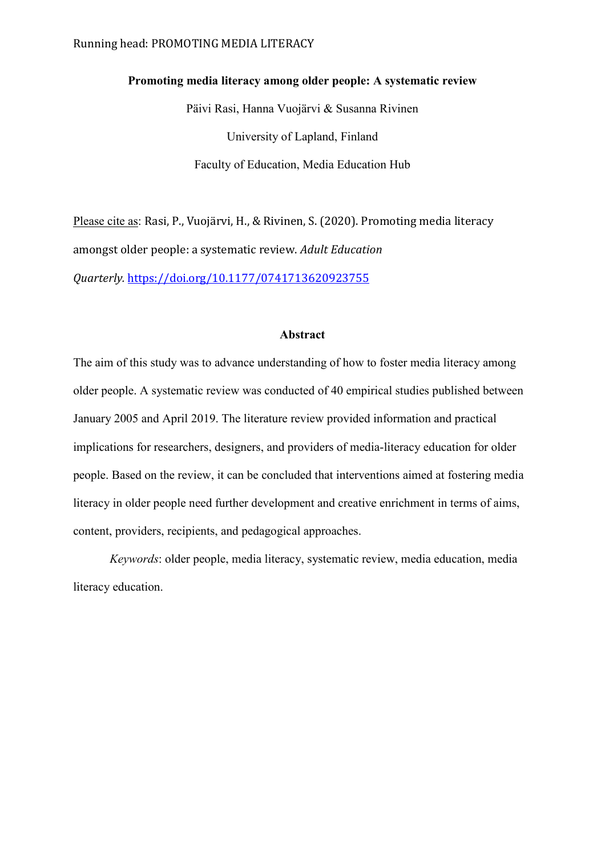# **Promoting media literacy among older people: A systematic review**

Päivi Rasi, Hanna Vuojärvi & Susanna Rivinen University of Lapland, Finland Faculty of Education, Media Education Hub

Please cite as: Rasi, P., Vuojärvi, H., & Rivinen, S. (2020). Promoting media literacy amongst older people: a systematic review. *Adult Education Quarterly.* <https://doi.org/10.1177/0741713620923755>

# **Abstract**

The aim of this study was to advance understanding of how to foster media literacy among older people. A systematic review was conducted of 40 empirical studies published between January 2005 and April 2019. The literature review provided information and practical implications for researchers, designers, and providers of media-literacy education for older people. Based on the review, it can be concluded that interventions aimed at fostering media literacy in older people need further development and creative enrichment in terms of aims, content, providers, recipients, and pedagogical approaches.

*Keywords*: older people, media literacy, systematic review, media education, media literacy education.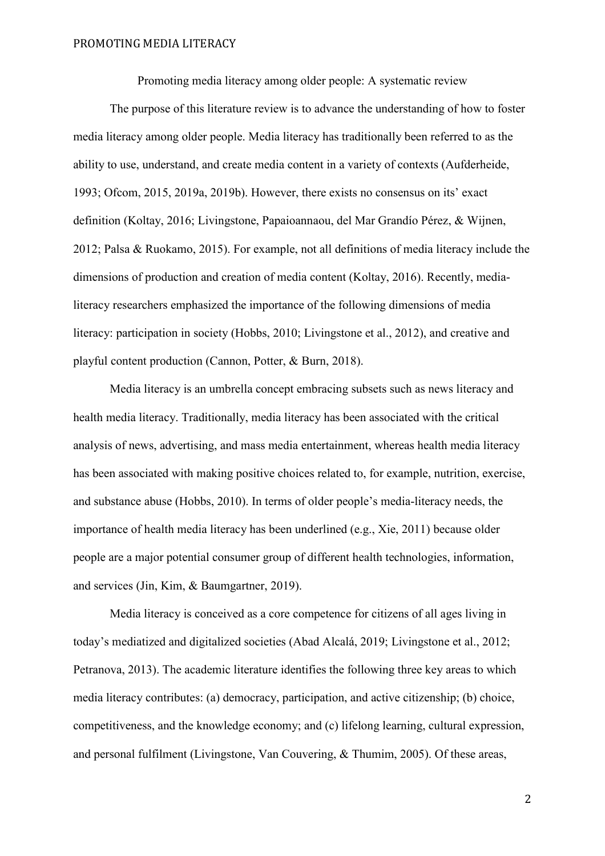Promoting media literacy among older people: A systematic review

The purpose of this literature review is to advance the understanding of how to foster media literacy among older people. Media literacy has traditionally been referred to as the ability to use, understand, and create media content in a variety of contexts (Aufderheide, 1993; Ofcom, 2015, 2019a, 2019b). However, there exists no consensus on its' exact definition (Koltay, 2016; Livingstone, Papaioannaou, del Mar Grandío Pérez, & Wijnen, 2012; Palsa & Ruokamo, 2015). For example, not all definitions of media literacy include the dimensions of production and creation of media content (Koltay, 2016). Recently, medialiteracy researchers emphasized the importance of the following dimensions of media literacy: participation in society (Hobbs, 2010; Livingstone et al., 2012), and creative and playful content production (Cannon, Potter, & Burn, 2018).

Media literacy is an umbrella concept embracing subsets such as news literacy and health media literacy. Traditionally, media literacy has been associated with the critical analysis of news, advertising, and mass media entertainment, whereas health media literacy has been associated with making positive choices related to, for example, nutrition, exercise, and substance abuse (Hobbs, 2010). In terms of older people's media-literacy needs, the importance of health media literacy has been underlined (e.g., Xie, 2011) because older people are a major potential consumer group of different health technologies, information, and services (Jin, Kim, & Baumgartner, 2019).

Media literacy is conceived as a core competence for citizens of all ages living in today's mediatized and digitalized societies (Abad Alcalá, 2019; Livingstone et al., 2012; Petranova, 2013). The academic literature identifies the following three key areas to which media literacy contributes: (a) democracy, participation, and active citizenship; (b) choice, competitiveness, and the knowledge economy; and (c) lifelong learning, cultural expression, and personal fulfilment (Livingstone, Van Couvering, & Thumim, 2005). Of these areas,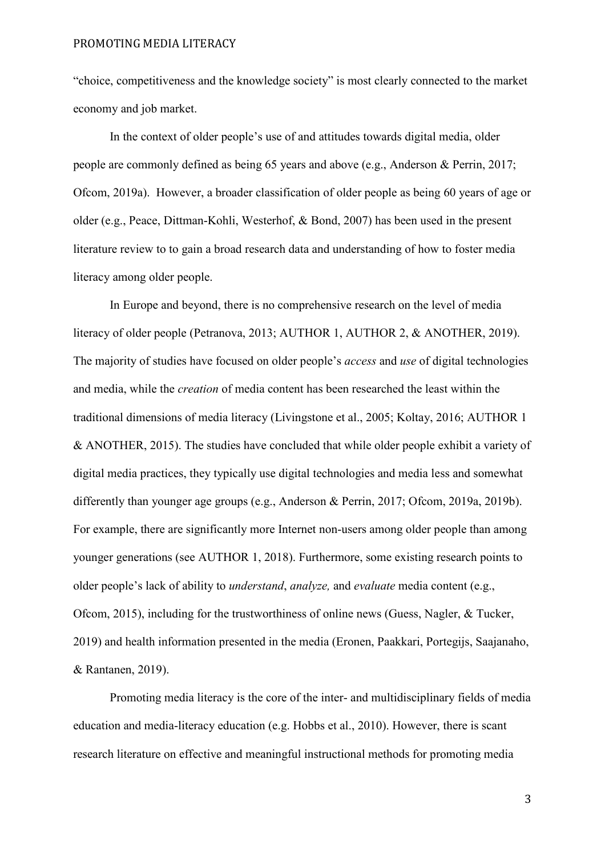"choice, competitiveness and the knowledge society" is most clearly connected to the market economy and job market.

In the context of older people's use of and attitudes towards digital media, older people are commonly defined as being 65 years and above (e.g., Anderson & Perrin, 2017; Ofcom, 2019a). However, a broader classification of older people as being 60 years of age or older (e.g., Peace, Dittman-Kohli, Westerhof, & Bond, 2007) has been used in the present literature review to to gain a broad research data and understanding of how to foster media literacy among older people.

In Europe and beyond, there is no comprehensive research on the level of media literacy of older people (Petranova, 2013; AUTHOR 1, AUTHOR 2, & ANOTHER, 2019). The majority of studies have focused on older people's *access* and *use* of digital technologies and media, while the *creation* of media content has been researched the least within the traditional dimensions of media literacy (Livingstone et al., 2005; Koltay, 2016; AUTHOR 1 & ANOTHER, 2015). The studies have concluded that while older people exhibit a variety of digital media practices, they typically use digital technologies and media less and somewhat differently than younger age groups (e.g., Anderson & Perrin, 2017; Ofcom, 2019a, 2019b). For example, there are significantly more Internet non-users among older people than among younger generations (see AUTHOR 1, 2018). Furthermore, some existing research points to older people's lack of ability to *understand*, *analyze,* and *evaluate* media content (e.g., Ofcom, 2015), including for the trustworthiness of online news (Guess, Nagler, & Tucker, 2019) and health information presented in the media (Eronen, Paakkari, Portegijs, Saajanaho, & Rantanen, 2019).

Promoting media literacy is the core of the inter- and multidisciplinary fields of media education and media-literacy education (e.g. Hobbs et al., 2010). However, there is scant research literature on effective and meaningful instructional methods for promoting media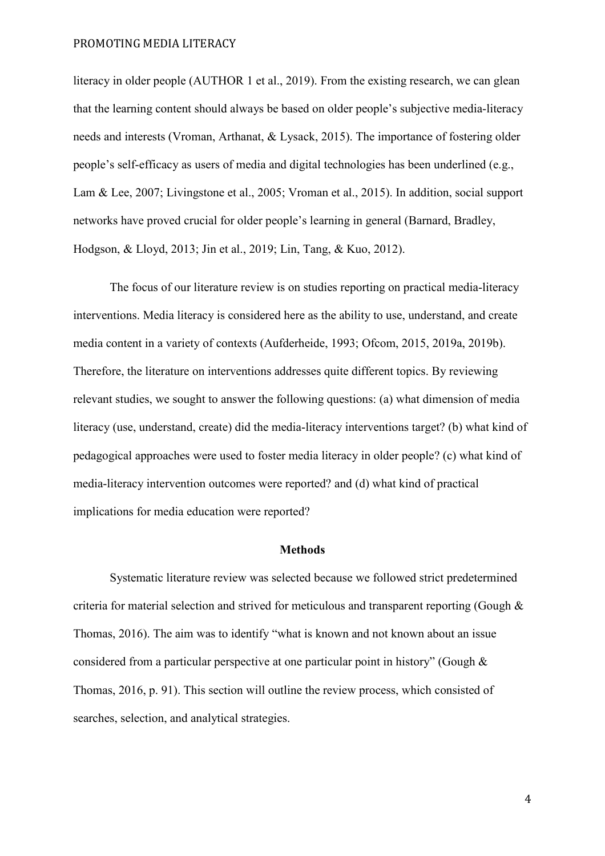literacy in older people (AUTHOR 1 et al., 2019). From the existing research, we can glean that the learning content should always be based on older people's subjective media-literacy needs and interests (Vroman, Arthanat, & Lysack, 2015). The importance of fostering older people's self-efficacy as users of media and digital technologies has been underlined (e.g., Lam & Lee, 2007; Livingstone et al., 2005; Vroman et al., 2015). In addition, social support networks have proved crucial for older people's learning in general (Barnard, Bradley, Hodgson, & Lloyd, 2013; Jin et al., 2019; Lin, Tang, & Kuo, 2012).

The focus of our literature review is on studies reporting on practical media-literacy interventions. Media literacy is considered here as the ability to use, understand, and create media content in a variety of contexts (Aufderheide, 1993; Ofcom, 2015, 2019a, 2019b). Therefore, the literature on interventions addresses quite different topics. By reviewing relevant studies, we sought to answer the following questions: (a) what dimension of media literacy (use, understand, create) did the media-literacy interventions target? (b) what kind of pedagogical approaches were used to foster media literacy in older people? (c) what kind of media-literacy intervention outcomes were reported? and (d) what kind of practical implications for media education were reported?

#### **Methods**

Systematic literature review was selected because we followed strict predetermined criteria for material selection and strived for meticulous and transparent reporting (Gough & Thomas, 2016). The aim was to identify "what is known and not known about an issue considered from a particular perspective at one particular point in history" (Gough & Thomas, 2016, p. 91). This section will outline the review process, which consisted of searches, selection, and analytical strategies.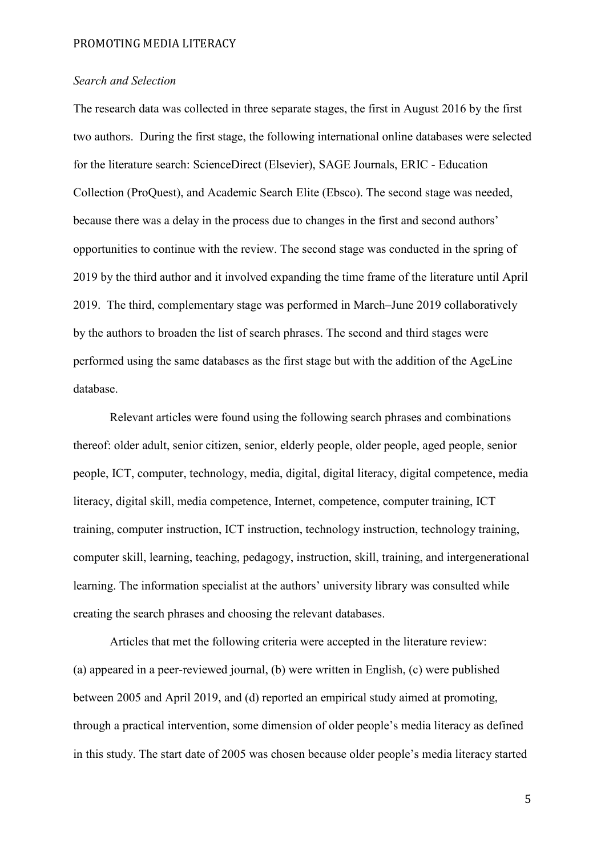# *Search and Selection*

The research data was collected in three separate stages, the first in August 2016 by the first two authors. During the first stage, the following international online databases were selected for the literature search: ScienceDirect (Elsevier), SAGE Journals, ERIC - Education Collection (ProQuest), and Academic Search Elite (Ebsco). The second stage was needed, because there was a delay in the process due to changes in the first and second authors' opportunities to continue with the review. The second stage was conducted in the spring of 2019 by the third author and it involved expanding the time frame of the literature until April 2019. The third, complementary stage was performed in March–June 2019 collaboratively by the authors to broaden the list of search phrases. The second and third stages were performed using the same databases as the first stage but with the addition of the AgeLine database.

Relevant articles were found using the following search phrases and combinations thereof: older adult, senior citizen, senior, elderly people, older people, aged people, senior people, ICT, computer, technology, media, digital, digital literacy, digital competence, media literacy, digital skill, media competence, Internet, competence, computer training, ICT training, computer instruction, ICT instruction, technology instruction, technology training, computer skill, learning, teaching, pedagogy, instruction, skill, training, and intergenerational learning. The information specialist at the authors' university library was consulted while creating the search phrases and choosing the relevant databases.

Articles that met the following criteria were accepted in the literature review: (a) appeared in a peer-reviewed journal, (b) were written in English, (c) were published between 2005 and April 2019, and (d) reported an empirical study aimed at promoting, through a practical intervention, some dimension of older people's media literacy as defined in this study. The start date of 2005 was chosen because older people's media literacy started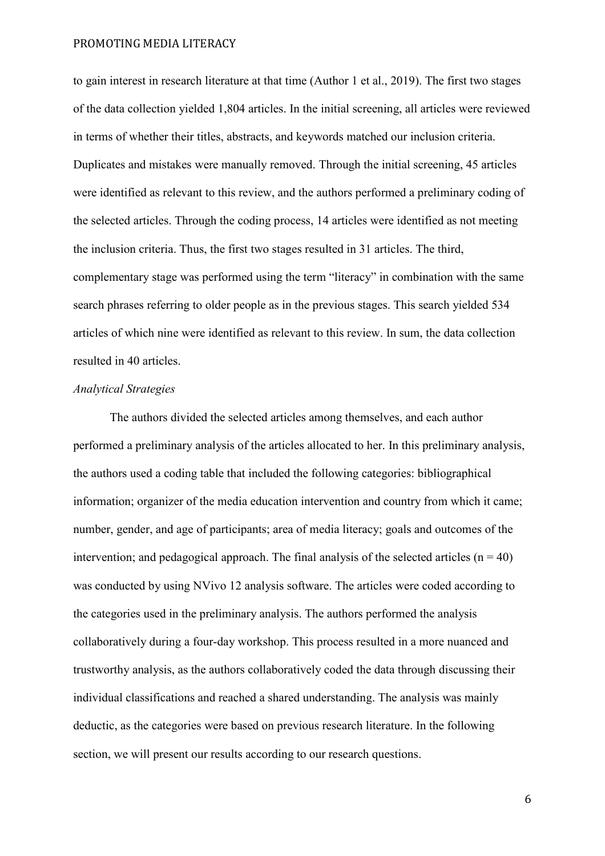to gain interest in research literature at that time (Author 1 et al., 2019). The first two stages of the data collection yielded 1,804 articles. In the initial screening, all articles were reviewed in terms of whether their titles, abstracts, and keywords matched our inclusion criteria. Duplicates and mistakes were manually removed. Through the initial screening, 45 articles were identified as relevant to this review, and the authors performed a preliminary coding of the selected articles. Through the coding process, 14 articles were identified as not meeting the inclusion criteria. Thus, the first two stages resulted in 31 articles. The third, complementary stage was performed using the term "literacy" in combination with the same search phrases referring to older people as in the previous stages. This search yielded 534 articles of which nine were identified as relevant to this review. In sum, the data collection resulted in 40 articles.

# *Analytical Strategies*

The authors divided the selected articles among themselves, and each author performed a preliminary analysis of the articles allocated to her. In this preliminary analysis, the authors used a coding table that included the following categories: bibliographical information; organizer of the media education intervention and country from which it came; number, gender, and age of participants; area of media literacy; goals and outcomes of the intervention; and pedagogical approach. The final analysis of the selected articles  $(n = 40)$ was conducted by using NVivo 12 analysis software. The articles were coded according to the categories used in the preliminary analysis. The authors performed the analysis collaboratively during a four-day workshop. This process resulted in a more nuanced and trustworthy analysis, as the authors collaboratively coded the data through discussing their individual classifications and reached a shared understanding. The analysis was mainly deductic, as the categories were based on previous research literature. In the following section, we will present our results according to our research questions.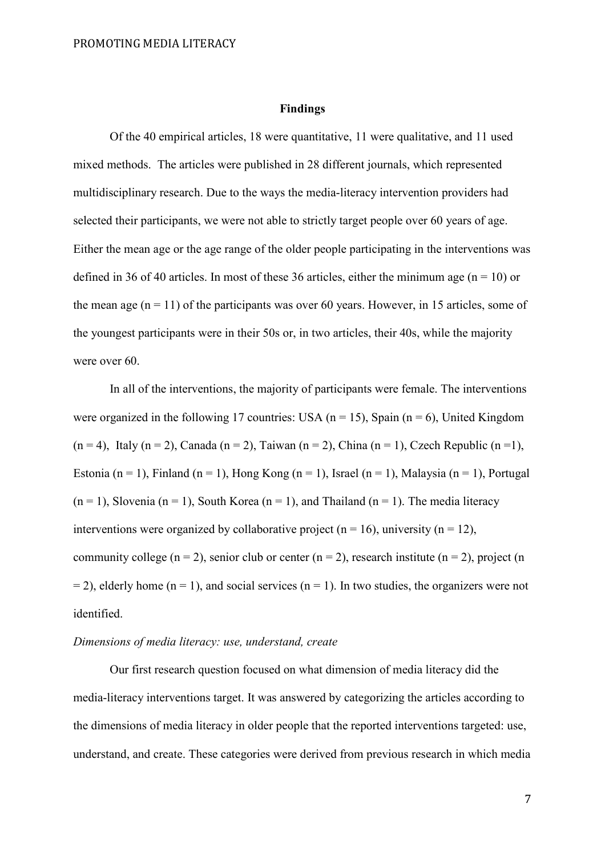#### **Findings**

Of the 40 empirical articles, 18 were quantitative, 11 were qualitative, and 11 used mixed methods. The articles were published in 28 different journals, which represented multidisciplinary research. Due to the ways the media-literacy intervention providers had selected their participants, we were not able to strictly target people over 60 years of age. Either the mean age or the age range of the older people participating in the interventions was defined in 36 of 40 articles. In most of these 36 articles, either the minimum age ( $n = 10$ ) or the mean age  $(n = 11)$  of the participants was over 60 years. However, in 15 articles, some of the youngest participants were in their 50s or, in two articles, their 40s, while the majority were over 60.

In all of the interventions, the majority of participants were female. The interventions were organized in the following 17 countries: USA ( $n = 15$ ), Spain ( $n = 6$ ), United Kingdom  $(n = 4)$ , Italy  $(n = 2)$ , Canada  $(n = 2)$ , Taiwan  $(n = 2)$ , China  $(n = 1)$ , Czech Republic  $(n = 1)$ , Estonia (n = 1), Finland (n = 1), Hong Kong (n = 1), Israel (n = 1), Malaysia (n = 1), Portugal  $(n = 1)$ , Slovenia  $(n = 1)$ , South Korea  $(n = 1)$ , and Thailand  $(n = 1)$ . The media literacy interventions were organized by collaborative project ( $n = 16$ ), university ( $n = 12$ ), community college ( $n = 2$ ), senior club or center ( $n = 2$ ), research institute ( $n = 2$ ), project (n  $= 2$ ), elderly home (n = 1), and social services (n = 1). In two studies, the organizers were not identified.

# *Dimensions of media literacy: use, understand, create*

Our first research question focused on what dimension of media literacy did the media-literacy interventions target. It was answered by categorizing the articles according to the dimensions of media literacy in older people that the reported interventions targeted: use, understand, and create. These categories were derived from previous research in which media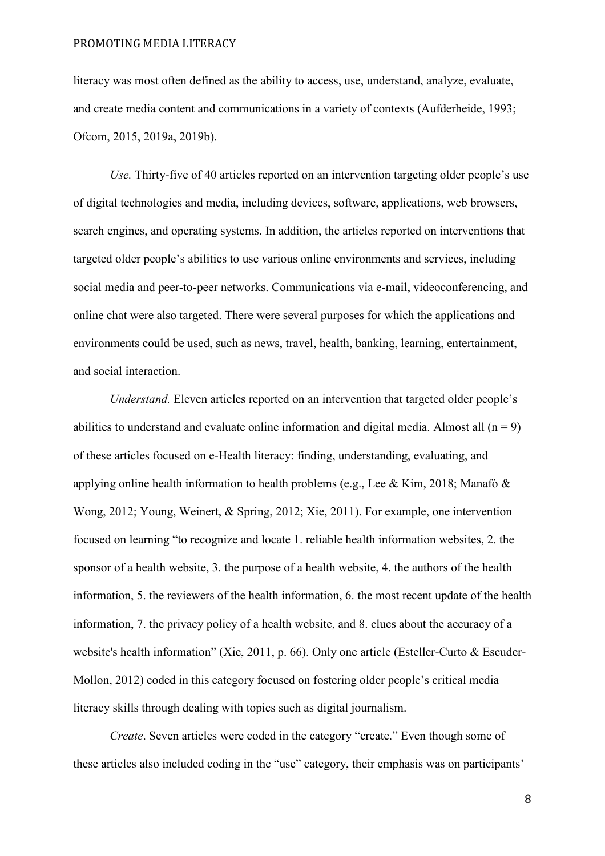literacy was most often defined as the ability to access, use, understand, analyze, evaluate, and create media content and communications in a variety of contexts (Aufderheide, 1993; Ofcom, 2015, 2019a, 2019b).

*Use.* Thirty-five of 40 articles reported on an intervention targeting older people's use of digital technologies and media, including devices, software, applications, web browsers, search engines, and operating systems. In addition, the articles reported on interventions that targeted older people's abilities to use various online environments and services, including social media and peer-to-peer networks. Communications via e-mail, videoconferencing, and online chat were also targeted. There were several purposes for which the applications and environments could be used, such as news, travel, health, banking, learning, entertainment, and social interaction.

*Understand.* Eleven articles reported on an intervention that targeted older people's abilities to understand and evaluate online information and digital media. Almost all  $(n = 9)$ of these articles focused on e-Health literacy: finding, understanding, evaluating, and applying online health information to health problems (e.g., Lee & Kim, 2018; Manafò & Wong, 2012; Young, Weinert, & Spring, 2012; Xie, 2011). For example, one intervention focused on learning "to recognize and locate 1. reliable health information websites, 2. the sponsor of a health website, 3. the purpose of a health website, 4. the authors of the health information, 5. the reviewers of the health information, 6. the most recent update of the health information, 7. the privacy policy of a health website, and 8. clues about the accuracy of a website's health information" (Xie, 2011, p. 66). Only one article (Esteller-Curto & Escuder-Mollon, 2012) coded in this category focused on fostering older people's critical media literacy skills through dealing with topics such as digital journalism.

*Create*. Seven articles were coded in the category "create." Even though some of these articles also included coding in the "use" category, their emphasis was on participants'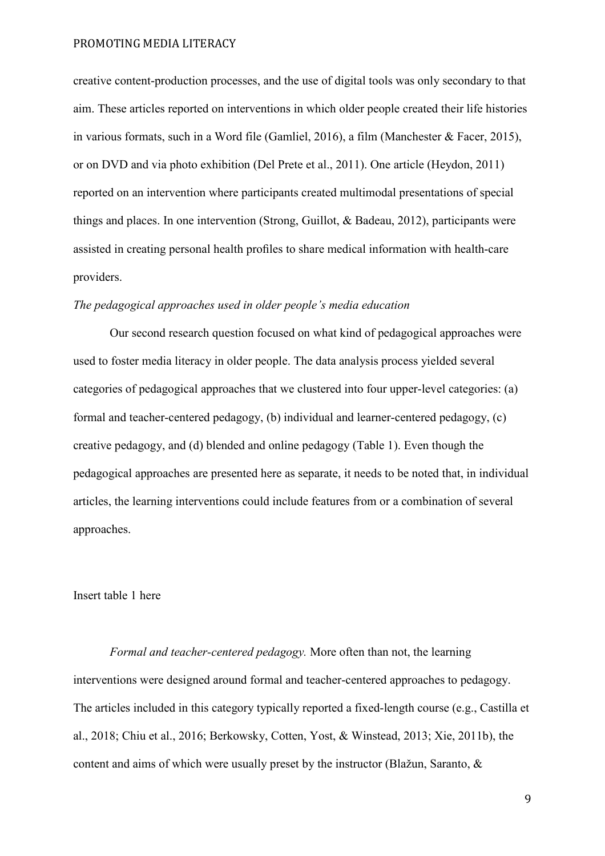creative content-production processes, and the use of digital tools was only secondary to that aim. These articles reported on interventions in which older people created their life histories in various formats, such in a Word file (Gamliel, 2016), a film (Manchester & Facer, 2015), or on DVD and via photo exhibition (Del Prete et al., 2011). One article (Heydon, 2011) reported on an intervention where participants created multimodal presentations of special things and places. In one intervention (Strong, Guillot, & Badeau, 2012), participants were assisted in creating personal health profiles to share medical information with health-care providers.

# *The pedagogical approaches used in older people's media education*

Our second research question focused on what kind of pedagogical approaches were used to foster media literacy in older people. The data analysis process yielded several categories of pedagogical approaches that we clustered into four upper-level categories: (a) formal and teacher-centered pedagogy, (b) individual and learner-centered pedagogy, (c) creative pedagogy, and (d) blended and online pedagogy (Table 1). Even though the pedagogical approaches are presented here as separate, it needs to be noted that, in individual articles, the learning interventions could include features from or a combination of several approaches.

# Insert table 1 here

*Formal and teacher-centered pedagogy.* More often than not, the learning interventions were designed around formal and teacher-centered approaches to pedagogy. The articles included in this category typically reported a fixed-length course (e.g., Castilla et al., 2018; Chiu et al., 2016; Berkowsky, Cotten, Yost, & Winstead, 2013; Xie, 2011b), the content and aims of which were usually preset by the instructor (Blažun, Saranto, &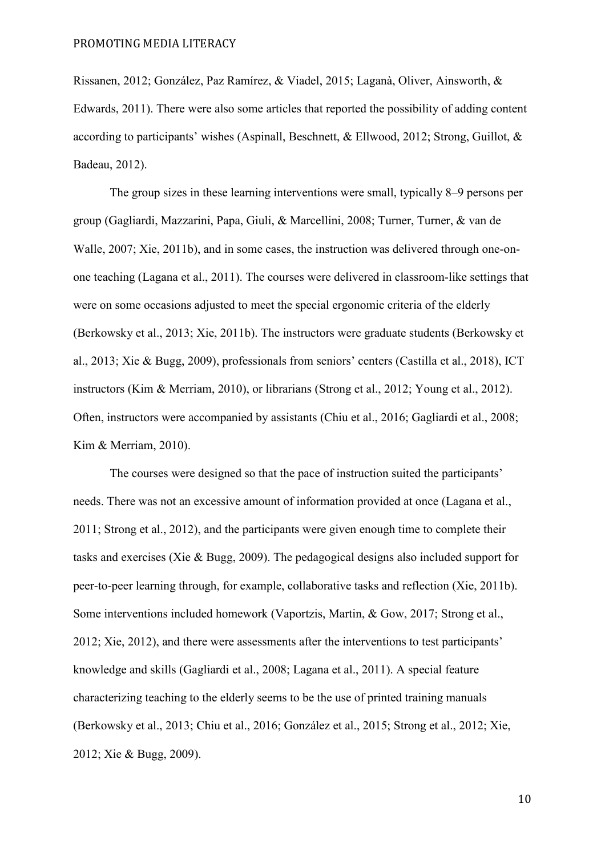Rissanen, 2012; González, Paz Ramírez, & Viadel, 2015; Laganà, Oliver, Ainsworth, & Edwards, 2011). There were also some articles that reported the possibility of adding content according to participants' wishes (Aspinall, Beschnett, & Ellwood, 2012; Strong, Guillot, & Badeau, 2012).

The group sizes in these learning interventions were small, typically 8–9 persons per group (Gagliardi, Mazzarini, Papa, Giuli, & Marcellini, 2008; Turner, Turner, & van de Walle, 2007; Xie, 2011b), and in some cases, the instruction was delivered through one-onone teaching (Lagana et al., 2011). The courses were delivered in classroom-like settings that were on some occasions adjusted to meet the special ergonomic criteria of the elderly (Berkowsky et al., 2013; Xie, 2011b). The instructors were graduate students (Berkowsky et al., 2013; Xie & Bugg, 2009), professionals from seniors' centers (Castilla et al., 2018), ICT instructors (Kim & Merriam, 2010), or librarians (Strong et al., 2012; Young et al., 2012). Often, instructors were accompanied by assistants (Chiu et al., 2016; Gagliardi et al., 2008; Kim & Merriam, 2010).

The courses were designed so that the pace of instruction suited the participants' needs. There was not an excessive amount of information provided at once (Lagana et al., 2011; Strong et al., 2012), and the participants were given enough time to complete their tasks and exercises (Xie & Bugg, 2009). The pedagogical designs also included support for peer-to-peer learning through, for example, collaborative tasks and reflection (Xie, 2011b). Some interventions included homework (Vaportzis, Martin, & Gow, 2017; Strong et al., 2012; Xie, 2012), and there were assessments after the interventions to test participants' knowledge and skills (Gagliardi et al., 2008; Lagana et al., 2011). A special feature characterizing teaching to the elderly seems to be the use of printed training manuals (Berkowsky et al., 2013; Chiu et al., 2016; González et al., 2015; Strong et al., 2012; Xie, 2012; Xie & Bugg, 2009).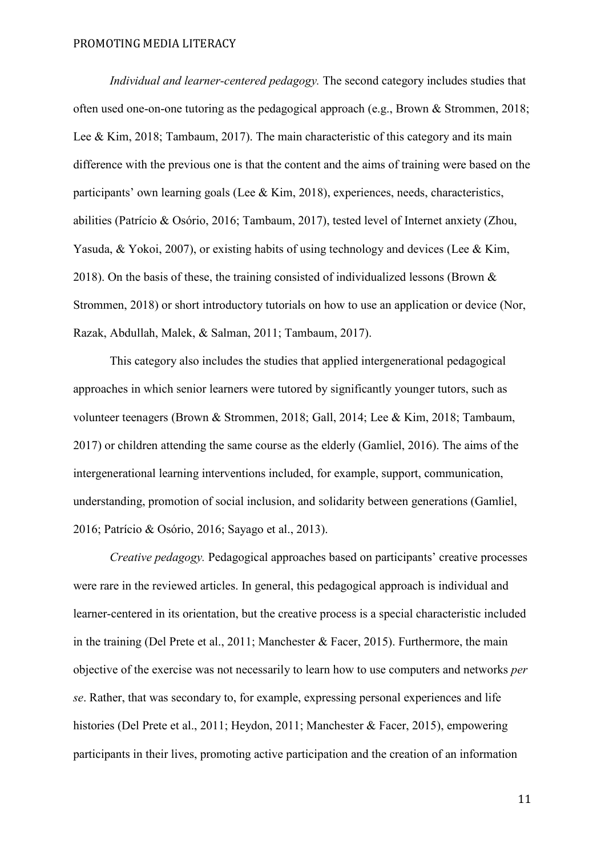*Individual and learner-centered pedagogy.* The second category includes studies that often used one-on-one tutoring as the pedagogical approach (e.g., Brown & Strommen, 2018; Lee & Kim, 2018; Tambaum, 2017). The main characteristic of this category and its main difference with the previous one is that the content and the aims of training were based on the participants' own learning goals (Lee & Kim, 2018), experiences, needs, characteristics, abilities (Patrício & Osório, 2016; Tambaum, 2017), tested level of Internet anxiety (Zhou, Yasuda, & Yokoi, 2007), or existing habits of using technology and devices (Lee & Kim, 2018). On the basis of these, the training consisted of individualized lessons (Brown  $\&$ Strommen, 2018) or short introductory tutorials on how to use an application or device (Nor, Razak, Abdullah, Malek, & Salman, 2011; Tambaum, 2017).

This category also includes the studies that applied intergenerational pedagogical approaches in which senior learners were tutored by significantly younger tutors, such as volunteer teenagers (Brown & Strommen, 2018; Gall, 2014; Lee & Kim, 2018; Tambaum, 2017) or children attending the same course as the elderly (Gamliel, 2016). The aims of the intergenerational learning interventions included, for example, support, communication, understanding, promotion of social inclusion, and solidarity between generations (Gamliel, 2016; Patrício & Osório, 2016; Sayago et al., 2013).

*Creative pedagogy.* Pedagogical approaches based on participants' creative processes were rare in the reviewed articles. In general, this pedagogical approach is individual and learner-centered in its orientation, but the creative process is a special characteristic included in the training (Del Prete et al., 2011; Manchester & Facer, 2015). Furthermore, the main objective of the exercise was not necessarily to learn how to use computers and networks *per se*. Rather, that was secondary to, for example, expressing personal experiences and life histories (Del Prete et al., 2011; Heydon, 2011; Manchester & Facer, 2015), empowering participants in their lives, promoting active participation and the creation of an information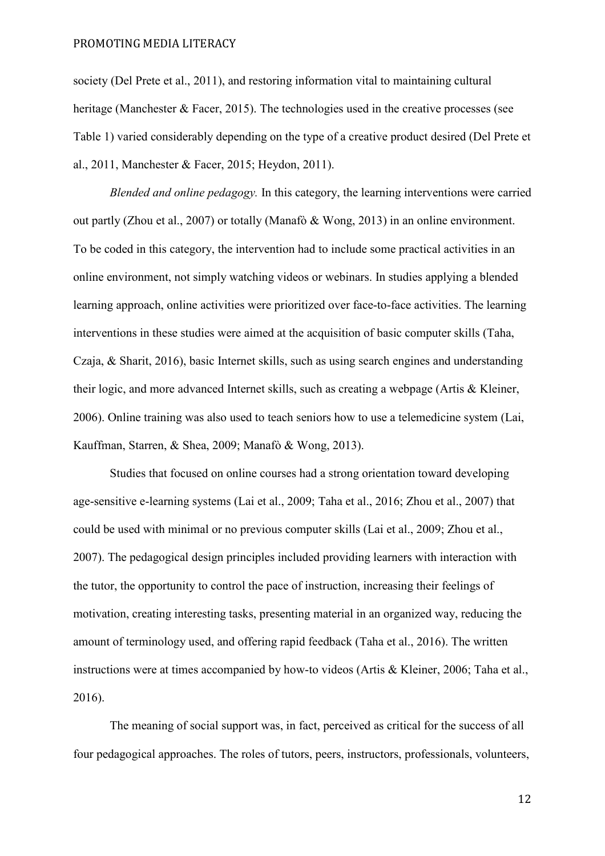society (Del Prete et al., 2011), and restoring information vital to maintaining cultural heritage (Manchester  $\&$  Facer, 2015). The technologies used in the creative processes (see Table 1) varied considerably depending on the type of a creative product desired (Del Prete et al., 2011, Manchester & Facer, 2015; Heydon, 2011).

*Blended and online pedagogy.* In this category, the learning interventions were carried out partly (Zhou et al., 2007) or totally (Manafò & Wong, 2013) in an online environment. To be coded in this category, the intervention had to include some practical activities in an online environment, not simply watching videos or webinars. In studies applying a blended learning approach, online activities were prioritized over face-to-face activities. The learning interventions in these studies were aimed at the acquisition of basic computer skills (Taha, Czaja, & Sharit, 2016), basic Internet skills, such as using search engines and understanding their logic, and more advanced Internet skills, such as creating a webpage (Artis & Kleiner, 2006). Online training was also used to teach seniors how to use a telemedicine system (Lai, Kauffman, Starren, & Shea, 2009; Manafò & Wong, 2013).

Studies that focused on online courses had a strong orientation toward developing age-sensitive e-learning systems (Lai et al., 2009; Taha et al., 2016; Zhou et al., 2007) that could be used with minimal or no previous computer skills (Lai et al., 2009; Zhou et al., 2007). The pedagogical design principles included providing learners with interaction with the tutor, the opportunity to control the pace of instruction, increasing their feelings of motivation, creating interesting tasks, presenting material in an organized way, reducing the amount of terminology used, and offering rapid feedback (Taha et al., 2016). The written instructions were at times accompanied by how-to videos (Artis & Kleiner, 2006; Taha et al., 2016).

The meaning of social support was, in fact, perceived as critical for the success of all four pedagogical approaches. The roles of tutors, peers, instructors, professionals, volunteers,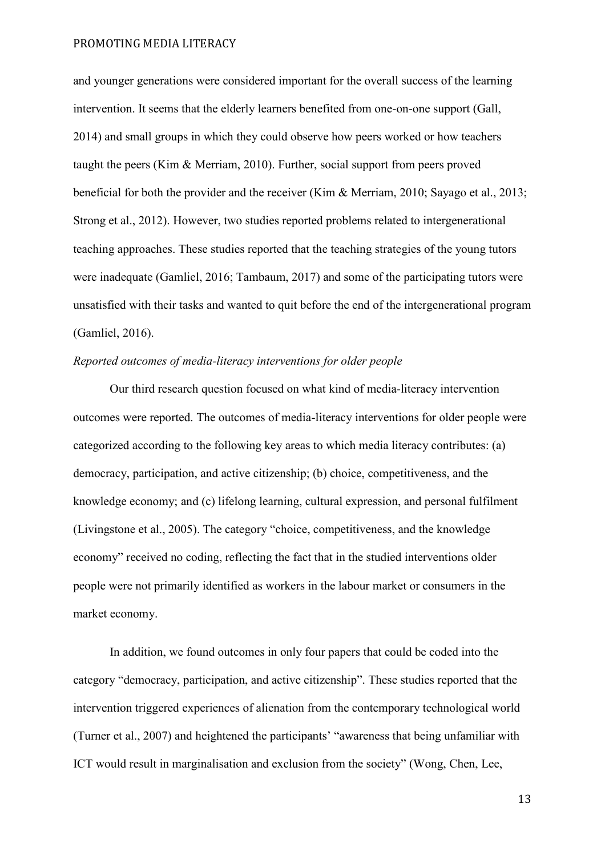and younger generations were considered important for the overall success of the learning intervention. It seems that the elderly learners benefited from one-on-one support (Gall, 2014) and small groups in which they could observe how peers worked or how teachers taught the peers (Kim & Merriam, 2010). Further, social support from peers proved beneficial for both the provider and the receiver (Kim & Merriam, 2010; Sayago et al., 2013; Strong et al., 2012). However, two studies reported problems related to intergenerational teaching approaches. These studies reported that the teaching strategies of the young tutors were inadequate (Gamliel, 2016; Tambaum, 2017) and some of the participating tutors were unsatisfied with their tasks and wanted to quit before the end of the intergenerational program (Gamliel, 2016).

# *Reported outcomes of media-literacy interventions for older people*

Our third research question focused on what kind of media-literacy intervention outcomes were reported. The outcomes of media-literacy interventions for older people were categorized according to the following key areas to which media literacy contributes: (a) democracy, participation, and active citizenship; (b) choice, competitiveness, and the knowledge economy; and (c) lifelong learning, cultural expression, and personal fulfilment (Livingstone et al., 2005). The category "choice, competitiveness, and the knowledge economy" received no coding, reflecting the fact that in the studied interventions older people were not primarily identified as workers in the labour market or consumers in the market economy.

In addition, we found outcomes in only four papers that could be coded into the category "democracy, participation, and active citizenship". These studies reported that the intervention triggered experiences of alienation from the contemporary technological world (Turner et al., 2007) and heightened the participants' "awareness that being unfamiliar with ICT would result in marginalisation and exclusion from the society" (Wong, Chen, Lee,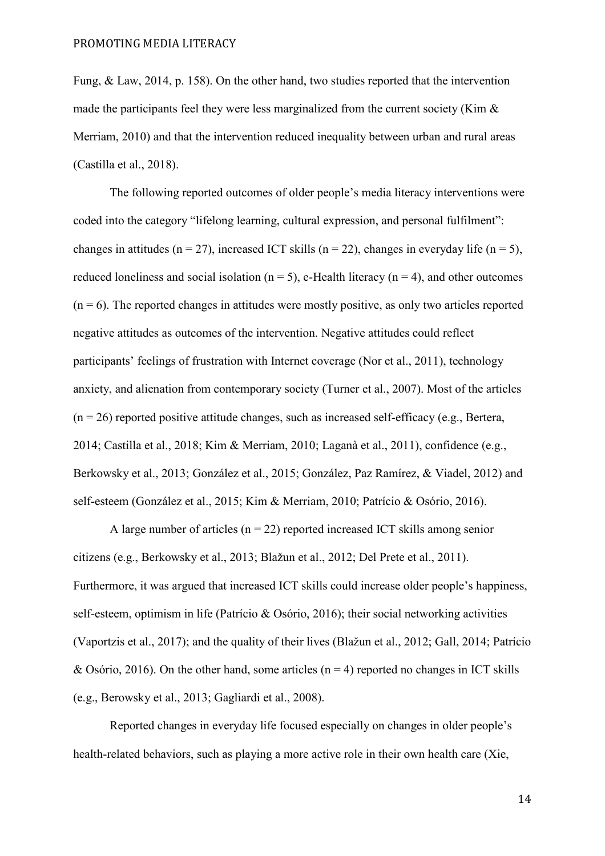Fung, & Law, 2014, p. 158). On the other hand, two studies reported that the intervention made the participants feel they were less marginalized from the current society (Kim & Merriam, 2010) and that the intervention reduced inequality between urban and rural areas (Castilla et al., 2018).

The following reported outcomes of older people's media literacy interventions were coded into the category "lifelong learning, cultural expression, and personal fulfilment": changes in attitudes ( $n = 27$ ), increased ICT skills ( $n = 22$ ), changes in everyday life ( $n = 5$ ), reduced loneliness and social isolation ( $n = 5$ ), e-Health literacy ( $n = 4$ ), and other outcomes  $(n = 6)$ . The reported changes in attitudes were mostly positive, as only two articles reported negative attitudes as outcomes of the intervention. Negative attitudes could reflect participants' feelings of frustration with Internet coverage (Nor et al., 2011), technology anxiety, and alienation from contemporary society (Turner et al., 2007). Most of the articles  $(n = 26)$  reported positive attitude changes, such as increased self-efficacy (e.g., Bertera, 2014; Castilla et al., 2018; Kim & Merriam, 2010; Laganà et al., 2011), confidence (e.g., Berkowsky et al., 2013; González et al., 2015; González, Paz Ramírez, & Viadel, 2012) and self-esteem (González et al., 2015; Kim & Merriam, 2010; Patrício & Osório, 2016).

A large number of articles ( $n = 22$ ) reported increased ICT skills among senior citizens (e.g., Berkowsky et al., 2013; Blažun et al., 2012; Del Prete et al., 2011). Furthermore, it was argued that increased ICT skills could increase older people's happiness, self-esteem, optimism in life (Patrício & Osório, 2016); their social networking activities (Vaportzis et al., 2017); and the quality of their lives (Blažun et al., 2012; Gall, 2014; Patrício & Osório, 2016). On the other hand, some articles  $(n = 4)$  reported no changes in ICT skills (e.g., Berowsky et al., 2013; Gagliardi et al., 2008).

Reported changes in everyday life focused especially on changes in older people's health-related behaviors, such as playing a more active role in their own health care (Xie,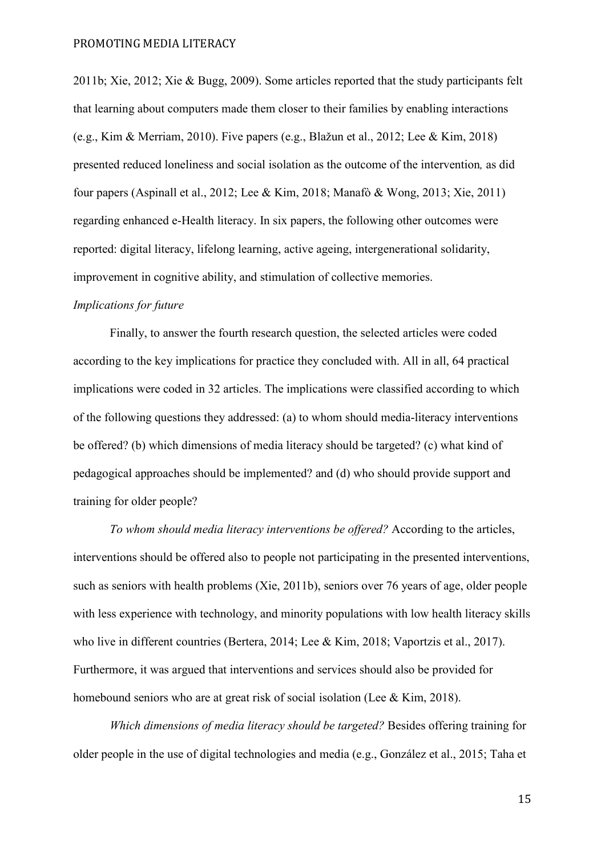2011b; Xie, 2012; Xie & Bugg, 2009). Some articles reported that the study participants felt that learning about computers made them closer to their families by enabling interactions (e.g., Kim & Merriam, 2010). Five papers (e.g., Blažun et al., 2012; Lee & Kim, 2018) presented reduced loneliness and social isolation as the outcome of the intervention*,* as did four papers (Aspinall et al., 2012; Lee & Kim, 2018; Manafò & Wong, 2013; Xie, 2011) regarding enhanced e-Health literacy. In six papers, the following other outcomes were reported: digital literacy, lifelong learning, active ageing, intergenerational solidarity, improvement in cognitive ability, and stimulation of collective memories.

# *Implications for future*

Finally, to answer the fourth research question, the selected articles were coded according to the key implications for practice they concluded with. All in all, 64 practical implications were coded in 32 articles. The implications were classified according to which of the following questions they addressed: (a) to whom should media-literacy interventions be offered? (b) which dimensions of media literacy should be targeted? (c) what kind of pedagogical approaches should be implemented? and (d) who should provide support and training for older people?

*To whom should media literacy interventions be offered?* According to the articles, interventions should be offered also to people not participating in the presented interventions, such as seniors with health problems (Xie, 2011b), seniors over 76 years of age, older people with less experience with technology, and minority populations with low health literacy skills who live in different countries (Bertera, 2014; Lee & Kim, 2018; Vaportzis et al., 2017). Furthermore, it was argued that interventions and services should also be provided for homebound seniors who are at great risk of social isolation (Lee & Kim, 2018).

*Which dimensions of media literacy should be targeted?* Besides offering training for older people in the use of digital technologies and media (e.g., González et al., 2015; Taha et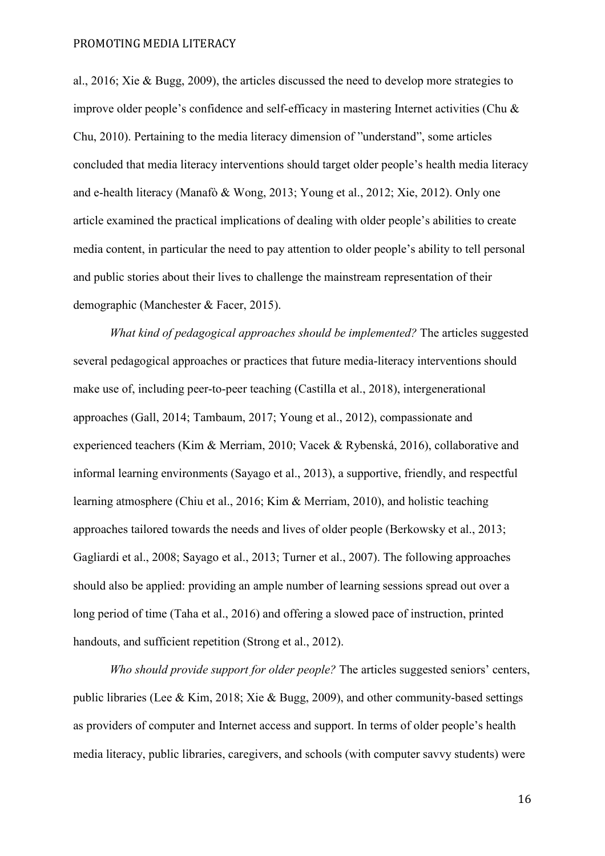al., 2016; Xie & Bugg, 2009), the articles discussed the need to develop more strategies to improve older people's confidence and self-efficacy in mastering Internet activities (Chu & Chu, 2010). Pertaining to the media literacy dimension of "understand", some articles concluded that media literacy interventions should target older people's health media literacy and e-health literacy (Manafò & Wong, 2013; Young et al., 2012; Xie, 2012). Only one article examined the practical implications of dealing with older people's abilities to create media content, in particular the need to pay attention to older people's ability to tell personal and public stories about their lives to challenge the mainstream representation of their demographic (Manchester & Facer, 2015).

*What kind of pedagogical approaches should be implemented?* The articles suggested several pedagogical approaches or practices that future media-literacy interventions should make use of, including peer-to-peer teaching (Castilla et al., 2018), intergenerational approaches (Gall, 2014; Tambaum, 2017; Young et al., 2012), compassionate and experienced teachers (Kim & Merriam, 2010; Vacek & Rybenská, 2016), collaborative and informal learning environments (Sayago et al., 2013), a supportive, friendly, and respectful learning atmosphere (Chiu et al., 2016; Kim & Merriam, 2010), and holistic teaching approaches tailored towards the needs and lives of older people (Berkowsky et al., 2013; Gagliardi et al., 2008; Sayago et al., 2013; Turner et al., 2007). The following approaches should also be applied: providing an ample number of learning sessions spread out over a long period of time (Taha et al., 2016) and offering a slowed pace of instruction, printed handouts, and sufficient repetition (Strong et al., 2012).

*Who should provide support for older people?* The articles suggested seniors' centers, public libraries (Lee & Kim, 2018; Xie & Bugg, 2009), and other community-based settings as providers of computer and Internet access and support. In terms of older people's health media literacy, public libraries, caregivers, and schools (with computer savvy students) were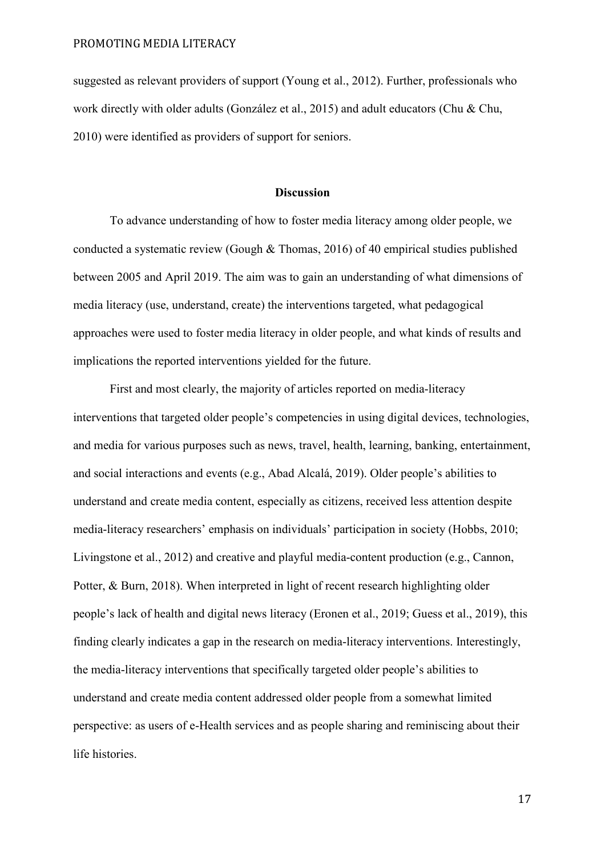suggested as relevant providers of support (Young et al., 2012). Further, professionals who work directly with older adults (González et al., 2015) and adult educators (Chu & Chu, 2010) were identified as providers of support for seniors.

# **Discussion**

To advance understanding of how to foster media literacy among older people, we conducted a systematic review (Gough & Thomas, 2016) of 40 empirical studies published between 2005 and April 2019. The aim was to gain an understanding of what dimensions of media literacy (use, understand, create) the interventions targeted, what pedagogical approaches were used to foster media literacy in older people, and what kinds of results and implications the reported interventions yielded for the future.

First and most clearly, the majority of articles reported on media-literacy interventions that targeted older people's competencies in using digital devices, technologies, and media for various purposes such as news, travel, health, learning, banking, entertainment, and social interactions and events (e.g., Abad Alcalá, 2019). Older people's abilities to understand and create media content, especially as citizens, received less attention despite media-literacy researchers' emphasis on individuals' participation in society (Hobbs, 2010; Livingstone et al., 2012) and creative and playful media-content production (e.g., Cannon, Potter, & Burn, 2018). When interpreted in light of recent research highlighting older people's lack of health and digital news literacy (Eronen et al., 2019; Guess et al., 2019), this finding clearly indicates a gap in the research on media-literacy interventions. Interestingly, the media-literacy interventions that specifically targeted older people's abilities to understand and create media content addressed older people from a somewhat limited perspective: as users of e-Health services and as people sharing and reminiscing about their life histories.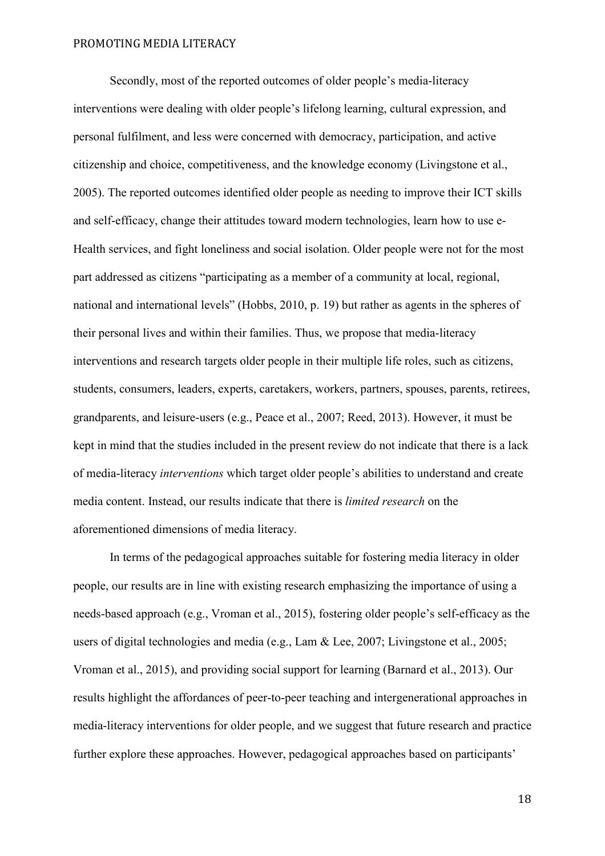Secondly, most of the reported outcomes of older people's media-literacy interventions were dealing with older people's lifelong learning, cultural expression, and personal fulfilment, and less were concerned with democracy, participation, and active citizenship and choice, competitiveness, and the knowledge economy (Livingstone et al., 2005). The reported outcomes identified older people as needing to improve their ICT skills and self-efficacy, change their attitudes toward modern technologies, learn how to use e-Health services, and fight loneliness and social isolation. Older people were not for the most part addressed as citizens "participating as a member of a community at local, regional, national and international levels" (Hobbs, 2010, p. 19) but rather as agents in the spheres of their personal lives and within their families. Thus, we propose that media-literacy interventions and research targets older people in their multiple life roles, such as citizens, students, consumers, leaders, experts, caretakers, workers, partners, spouses, parents, retirees, grandparents, and leisure-users (e.g., Peace et al., 2007; Reed, 2013). However, it must be kept in mind that the studies included in the present review do not indicate that there is a lack of media-literacy *interventions* which target older people's abilities to understand and create media content. Instead, our results indicate that there is *limited research* on the aforementioned dimensions of media literacy.

In terms of the pedagogical approaches suitable for fostering media literacy in older people, our results are in line with existing research emphasizing the importance of using a needs-based approach (e.g., Vroman et al., 2015), fostering older people's self-efficacy as the users of digital technologies and media (e.g., Lam & Lee, 2007; Livingstone et al., 2005; Vroman et al., 2015), and providing social support for learning (Barnard et al., 2013). Our results highlight the affordances of peer-to-peer teaching and intergenerational approaches in media-literacy interventions for older people, and we suggest that future research and practice further explore these approaches. However, pedagogical approaches based on participants'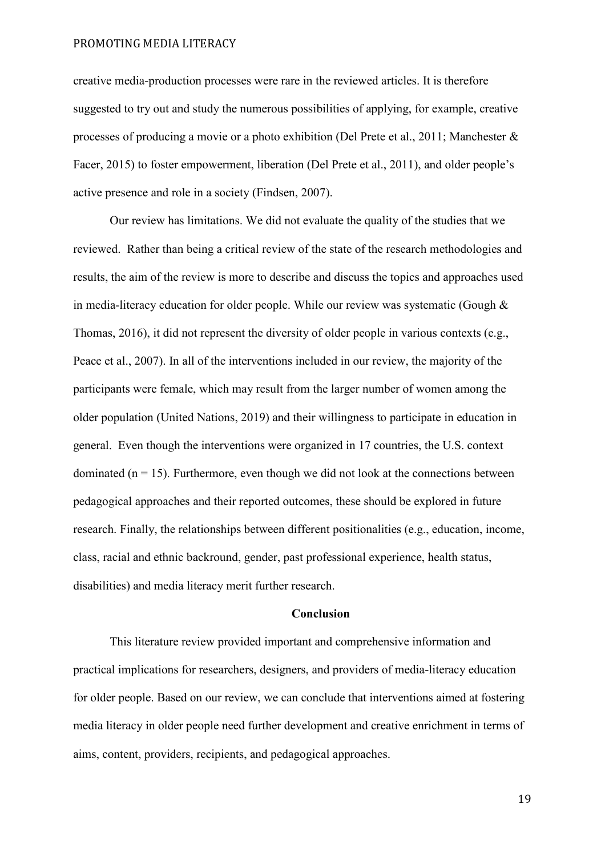creative media-production processes were rare in the reviewed articles. It is therefore suggested to try out and study the numerous possibilities of applying, for example, creative processes of producing a movie or a photo exhibition (Del Prete et al., 2011; Manchester & Facer, 2015) to foster empowerment, liberation (Del Prete et al., 2011), and older people's active presence and role in a society (Findsen, 2007).

Our review has limitations. We did not evaluate the quality of the studies that we reviewed. Rather than being a critical review of the state of the research methodologies and results, the aim of the review is more to describe and discuss the topics and approaches used in media-literacy education for older people. While our review was systematic (Gough & Thomas, 2016), it did not represent the diversity of older people in various contexts (e.g., Peace et al., 2007). In all of the interventions included in our review, the majority of the participants were female, which may result from the larger number of women among the older population (United Nations, 2019) and their willingness to participate in education in general. Even though the interventions were organized in 17 countries, the U.S. context dominated  $(n = 15)$ . Furthermore, even though we did not look at the connections between pedagogical approaches and their reported outcomes, these should be explored in future research. Finally, the relationships between different positionalities (e.g., education, income, class, racial and ethnic backround, gender, past professional experience, health status, disabilities) and media literacy merit further research.

# **Conclusion**

This literature review provided important and comprehensive information and practical implications for researchers, designers, and providers of media-literacy education for older people. Based on our review, we can conclude that interventions aimed at fostering media literacy in older people need further development and creative enrichment in terms of aims, content, providers, recipients, and pedagogical approaches.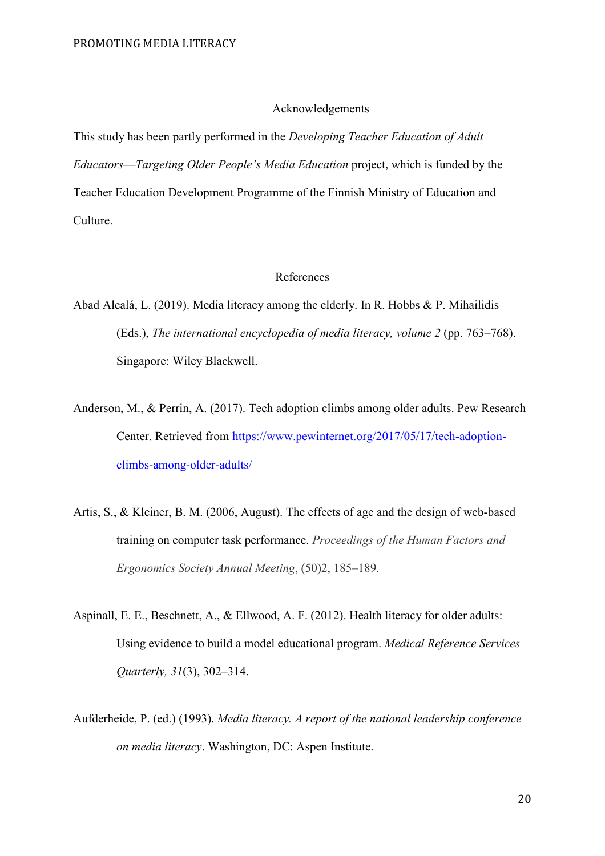#### Acknowledgements

This study has been partly performed in the *Developing Teacher Education of Adult Educators*—*Targeting Older People's Media Education* project, which is funded by the Teacher Education Development Programme of the Finnish Ministry of Education and Culture.

# References

- Abad Alcalá, L. (2019). Media literacy among the elderly. In R. Hobbs & P. Mihailidis (Eds.), *The international encyclopedia of media literacy, volume 2* (pp. 763–768). Singapore: Wiley Blackwell.
- Anderson, M., & Perrin, A. (2017). Tech adoption climbs among older adults. Pew Research Center. Retrieved from [https://www.pewinternet.org/2017/05/17/tech-adoption](https://www.pewinternet.org/2017/05/17/tech-adoption-climbs-among-older-adults/)[climbs-among-older-adults/](https://www.pewinternet.org/2017/05/17/tech-adoption-climbs-among-older-adults/)
- Artis, S., & Kleiner, B. M. (2006, August). The effects of age and the design of web-based training on computer task performance. *Proceedings of the Human Factors and Ergonomics Society Annual Meeting*, (50)2, 185–189.
- Aspinall, E. E., Beschnett, A., & Ellwood, A. F. (2012). Health literacy for older adults: Using evidence to build a model educational program. *Medical Reference Services Quarterly, 31*(3), 302–314.
- Aufderheide, P. (ed.) (1993). *Media literacy. A report of the national leadership conference on media literacy*. Washington, DC: Aspen Institute.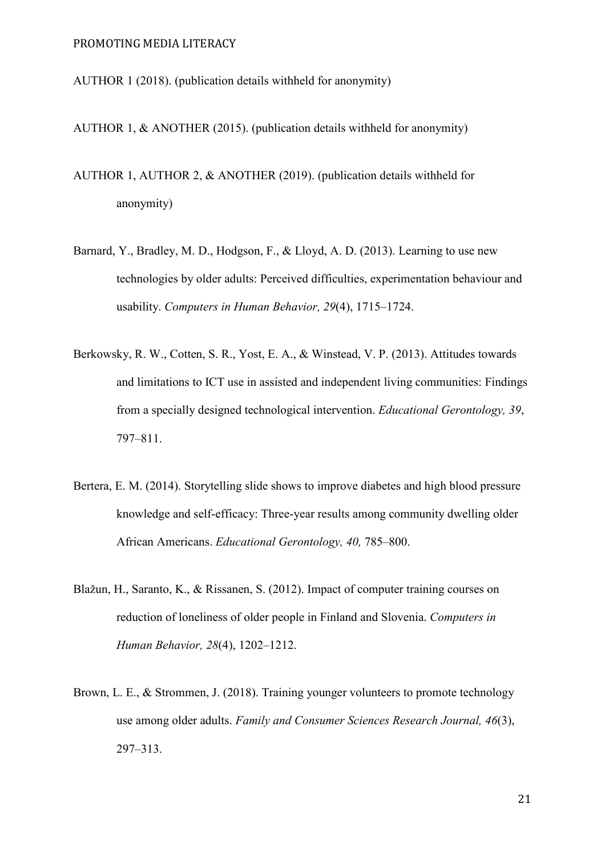AUTHOR 1 (2018). (publication details withheld for anonymity)

AUTHOR 1, & ANOTHER (2015). (publication details withheld for anonymity)

- AUTHOR 1, AUTHOR 2, & ANOTHER (2019). (publication details withheld for anonymity)
- Barnard, Y., Bradley, M. D., Hodgson, F., & Lloyd, A. D. (2013). Learning to use new technologies by older adults: Perceived difficulties, experimentation behaviour and usability. *Computers in Human Behavior, 29*(4), 1715–1724.
- Berkowsky, R. W., Cotten, S. R., Yost, E. A., & Winstead, V. P. (2013). Attitudes towards and limitations to ICT use in assisted and independent living communities: Findings from a specially designed technological intervention. *Educational Gerontology, 39*, 797–811.
- Bertera, E. M. (2014). Storytelling slide shows to improve diabetes and high blood pressure knowledge and self-efficacy: Three-year results among community dwelling older African Americans. *Educational Gerontology, 40,* 785–800.
- Blažun, H., Saranto, K., & Rissanen, S. (2012). Impact of computer training courses on reduction of loneliness of older people in Finland and Slovenia. *Computers in Human Behavior, 28*(4), 1202–1212.
- Brown, L. E., & Strommen, J. (2018). Training younger volunteers to promote technology use among older adults. *Family and Consumer Sciences Research Journal, 46*(3), 297–313.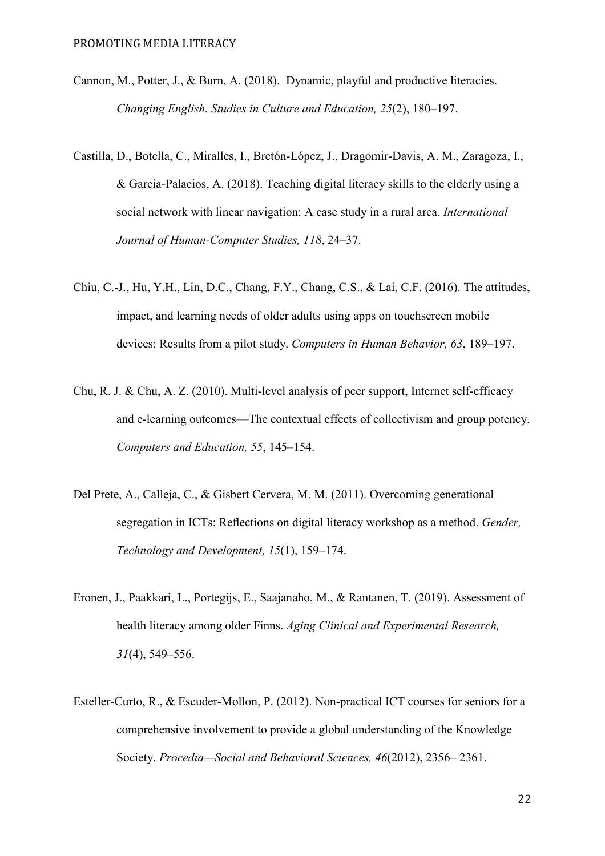- Cannon, M., Potter, J., & Burn, A. (2018). Dynamic, playful and productive literacies. *Changing English. Studies in Culture and Education, 25*(2), 180–197.
- Castilla, D., Botella, C., Miralles, I., Bretón-López, J., Dragomir-Davis, A. M., Zaragoza, I., & Garcia-Palacios, A. (2018). Teaching digital literacy skills to the elderly using a social network with linear navigation: A case study in a rural area. *International Journal of Human-Computer Studies, 118*, 24–37.
- Chiu, C.-J., Hu, Y.H., Lin, D.C., Chang, F.Y., Chang, C.S., & Lai, C.F. (2016). The attitudes, impact, and learning needs of older adults using apps on touchscreen mobile devices: Results from a pilot study. *Computers in Human Behavior, 63*, 189–197.
- Chu, R. J. & Chu, A. Z. (2010). Multi-level analysis of peer support, Internet self-efficacy and e-learning outcomes—The contextual effects of collectivism and group potency. *Computers and Education, 55*, 145–154.
- Del Prete, A., Calleja, C., & Gisbert Cervera, M. M. (2011). Overcoming generational segregation in ICTs: Reflections on digital literacy workshop as a method. *Gender, Technology and Development, 15*(1), 159–174.
- Eronen, J., Paakkari, L., Portegijs, E., Saajanaho, M., & Rantanen, T. (2019). Assessment of health literacy among older Finns. *Aging Clinical and Experimental Research, 31*(4), 549–556.
- Esteller-Curto, R., & Escuder-Mollon, P. (2012). Non-practical ICT courses for seniors for a comprehensive involvement to provide a global understanding of the Knowledge Society. *Procedia—Social and Behavioral Sciences, 46*(2012), 2356– 2361.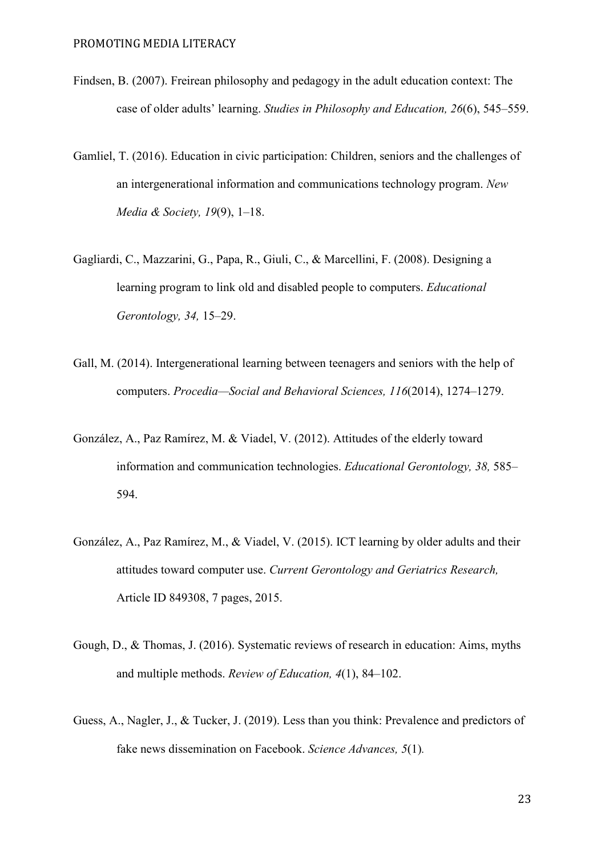- Findsen, B. (2007). Freirean philosophy and pedagogy in the adult education context: The case of older adults' learning. *Studies in Philosophy and Education, 26*(6), 545–559.
- Gamliel, T. (2016). Education in civic participation: Children, seniors and the challenges of an intergenerational information and communications technology program. *New Media & Society, 19*(9), 1–18.
- Gagliardi, C., Mazzarini, G., Papa, R., Giuli, C., & Marcellini, F. (2008). Designing a learning program to link old and disabled people to computers. *Educational Gerontology, 34,* 15–29.
- Gall, M. (2014). Intergenerational learning between teenagers and seniors with the help of computers. *Procedia—Social and Behavioral Sciences, 116*(2014), 1274–1279.
- González, A., Paz Ramírez, M. & Viadel, V. (2012). Attitudes of the elderly toward information and communication technologies. *Educational Gerontology, 38,* 585– 594.
- González, A., Paz Ramírez, M., & Viadel, V. (2015). ICT learning by older adults and their attitudes toward computer use. *Current Gerontology and Geriatrics Research,*  Article ID 849308, 7 pages, 2015.
- Gough, D., & Thomas, J. (2016). Systematic reviews of research in education: Aims, myths and multiple methods. *Review of Education, 4*(1), 84–102.
- Guess, A., Nagler, J., & Tucker, J. (2019). Less than you think: Prevalence and predictors of fake news dissemination on Facebook. *Science Advances, 5*(1)*.*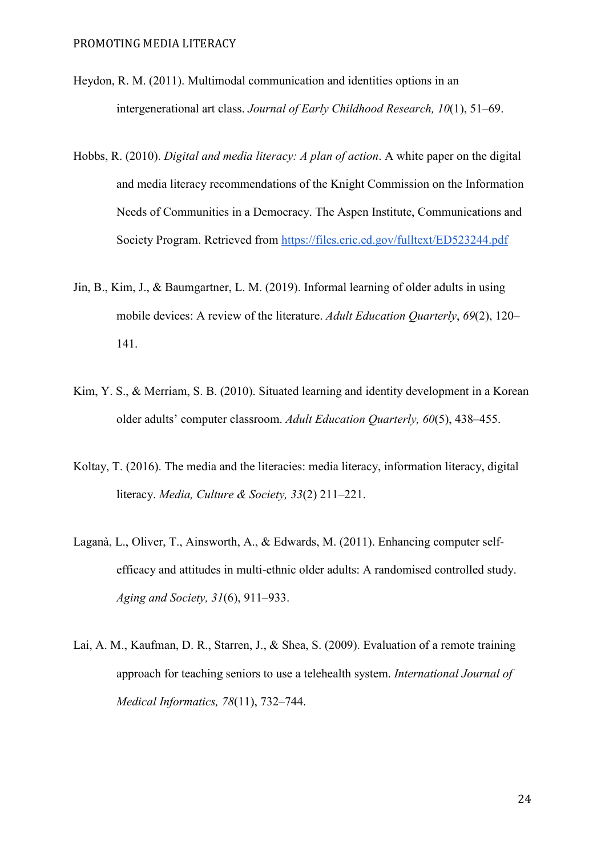- Heydon, R. M. (2011). Multimodal communication and identities options in an intergenerational art class. *Journal of Early Childhood Research, 10*(1), 51–69.
- Hobbs, R. (2010). *Digital and media literacy: A plan of action*. A white paper on the digital and media literacy recommendations of the Knight Commission on the Information Needs of Communities in a Democracy. The Aspen Institute, Communications and Society Program. Retrieved from<https://files.eric.ed.gov/fulltext/ED523244.pdf>
- Jin, B., Kim, J., & Baumgartner, L. M. (2019). Informal learning of older adults in using mobile devices: A review of the literature. *Adult Education Quarterly*, *69*(2), 120– 141.
- Kim, Y. S., & Merriam, S. B. (2010). Situated learning and identity development in a Korean older adults' computer classroom. *Adult Education Quarterly, 60*(5), 438–455.
- Koltay, T. (2016). The media and the literacies: media literacy, information literacy, digital literacy. *Media, Culture & Society, 33*(2) 211–221.
- Laganà, L., Oliver, T., Ainsworth, A., & Edwards, M. (2011). Enhancing computer selfefficacy and attitudes in multi-ethnic older adults: A randomised controlled study. *Aging and Society, 31*(6), 911–933.
- Lai, A. M., Kaufman, D. R., Starren, J., & Shea, S. (2009). Evaluation of a remote training approach for teaching seniors to use a telehealth system. *International Journal of Medical Informatics, 78*(11), 732–744.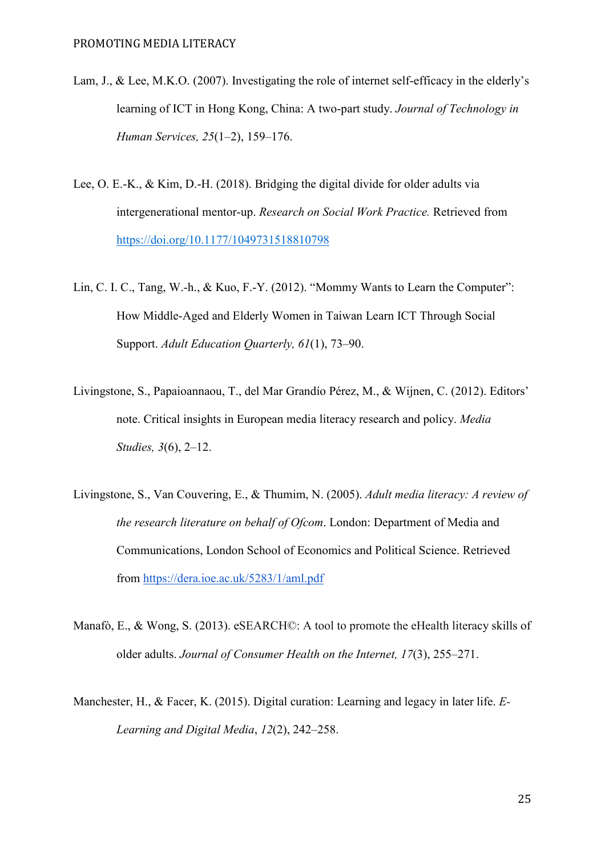- Lam, J., & Lee, M.K.O. (2007). Investigating the role of internet self-efficacy in the elderly's learning of ICT in Hong Kong, China: A two-part study. *Journal of Technology in Human Services, 25*(1–2), 159–176.
- Lee, O. E.-K., & Kim, D.-H. (2018). Bridging the digital divide for older adults via intergenerational mentor-up. *Research on Social Work Practice.* Retrieved from <https://doi.org/10.1177/1049731518810798>
- Lin, C. I. C., Tang, W.-h., & Kuo, F.-Y. (2012). "Mommy Wants to Learn the Computer": How Middle-Aged and Elderly Women in Taiwan Learn ICT Through Social Support. *Adult Education Quarterly, 61*(1), 73–90.
- Livingstone, S., Papaioannaou, T., del Mar Grandío Pérez, M., & Wijnen, C. (2012). Editors' note. Critical insights in European media literacy research and policy. *Media Studies, 3*(6), 2–12.
- Livingstone, S., Van Couvering, E., & Thumim, N. (2005). *Adult media literacy: A review of the research literature on behalf of Ofcom*. London: Department of Media and Communications, London School of Economics and Political Science. Retrieved from<https://dera.ioe.ac.uk/5283/1/aml.pdf>
- Manafò, E., & Wong, S. (2013). eSEARCH©: A tool to promote the eHealth literacy skills of older adults. *Journal of Consumer Health on the Internet, 17*(3), 255–271.
- Manchester, H., & Facer, K. (2015). Digital curation: Learning and legacy in later life. *E-Learning and Digital Media*, *12*(2), 242–258.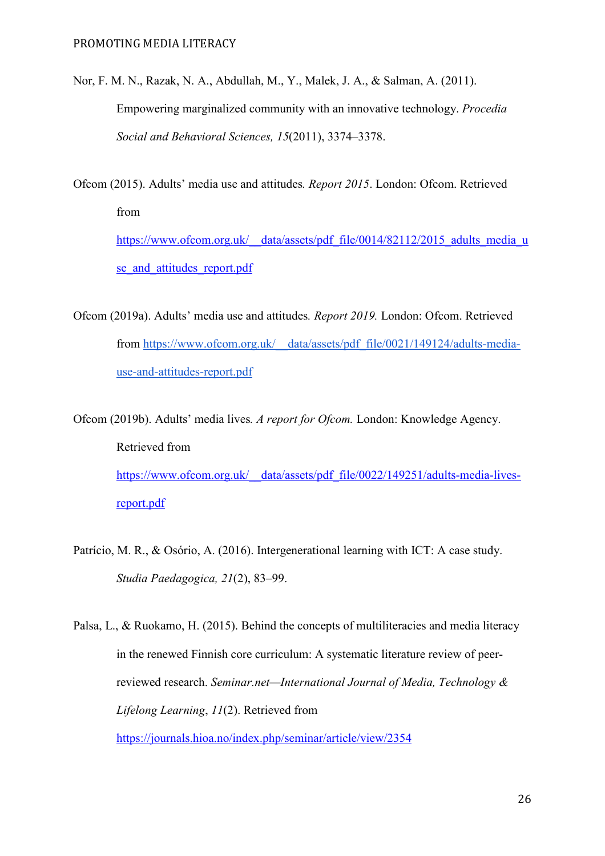- Nor, F. M. N., Razak, N. A., Abdullah, M., Y., Malek, J. A., & Salman, A. (2011). Empowering marginalized community with an innovative technology. *Procedia Social and Behavioral Sciences, 15*(2011), 3374–3378.
- Ofcom (2015). Adults' media use and attitudes*. Report 2015*. London: Ofcom. Retrieved from

https://www.ofcom.org.uk/ data/assets/pdf\_file/0014/82112/2015\_adults\_media\_u se and attitudes report.pdf

Ofcom (2019a). Adults' media use and attitudes*. Report 2019.* London: Ofcom. Retrieved from https://www.ofcom.org.uk/ data/assets/pdf file/0021/149124/adults-media[use-and-attitudes-report.pdf](https://www.ofcom.org.uk/__data/assets/pdf_file/0021/149124/adults-media-use-and-attitudes-report.pdf) 

Ofcom (2019b). Adults' media lives*. A report for Ofcom.* London: Knowledge Agency. Retrieved from https://www.ofcom.org.uk/ data/assets/pdf file/0022/149251/adults-media-lives[report.pdf](https://www.ofcom.org.uk/__data/assets/pdf_file/0022/149251/adults-media-lives-report.pdf) 

Patrício, M. R., & Osório, A. (2016). Intergenerational learning with ICT: A case study. *Studia Paedagogica, 21*(2), 83–99.

Palsa, L., & Ruokamo, H. (2015). Behind the concepts of multiliteracies and media literacy in the renewed Finnish core curriculum: A systematic literature review of peerreviewed research. *Seminar.net—International Journal of Media, Technology & Lifelong Learning*, *11*(2). Retrieved from

<https://journals.hioa.no/index.php/seminar/article/view/2354>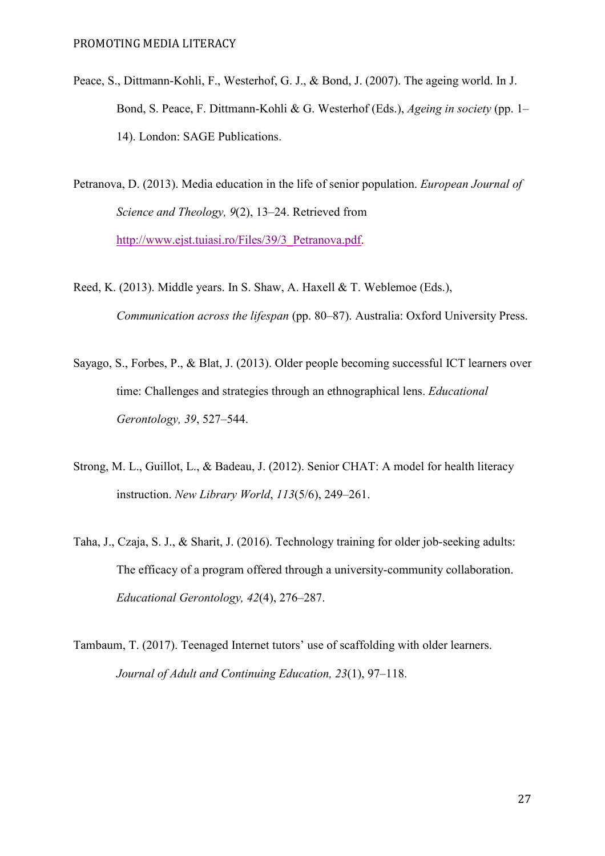- Peace, S., Dittmann-Kohli, F., Westerhof, G. J., & Bond, J. (2007). The ageing world. In J. Bond, S. Peace, F. Dittmann-Kohli & G. Westerhof (Eds.), *Ageing in society* (pp. 1– 14). London: SAGE Publications.
- Petranova, D. (2013). Media education in the life of senior population. *European Journal of Science and Theology, 9*(2), 13–24. Retrieved from [http://www.ejst.tuiasi.ro/Files/39/3\\_Petranova.pdf.](http://www.ejst.tuiasi.ro/Files/39/3_Petranova.pdf)
- Reed, K. (2013). Middle years. In S. Shaw, A. Haxell & T. Weblemoe (Eds.), *Communication across the lifespan* (pp. 80–87). Australia: Oxford University Press.
- Sayago, S., Forbes, P., & Blat, J. (2013). Older people becoming successful ICT learners over time: Challenges and strategies through an ethnographical lens. *Educational Gerontology, 39*, 527–544.
- Strong, M. L., Guillot, L., & Badeau, J. (2012). Senior CHAT: A model for health literacy instruction. *New Library World*, *113*(5/6), 249–261.
- Taha, J., Czaja, S. J., & Sharit, J. (2016). Technology training for older job-seeking adults: The efficacy of a program offered through a university-community collaboration. *Educational Gerontology, 42*(4), 276–287.
- Tambaum, T. (2017). Teenaged Internet tutors' use of scaffolding with older learners. *Journal of Adult and Continuing Education, 23*(1), 97–118.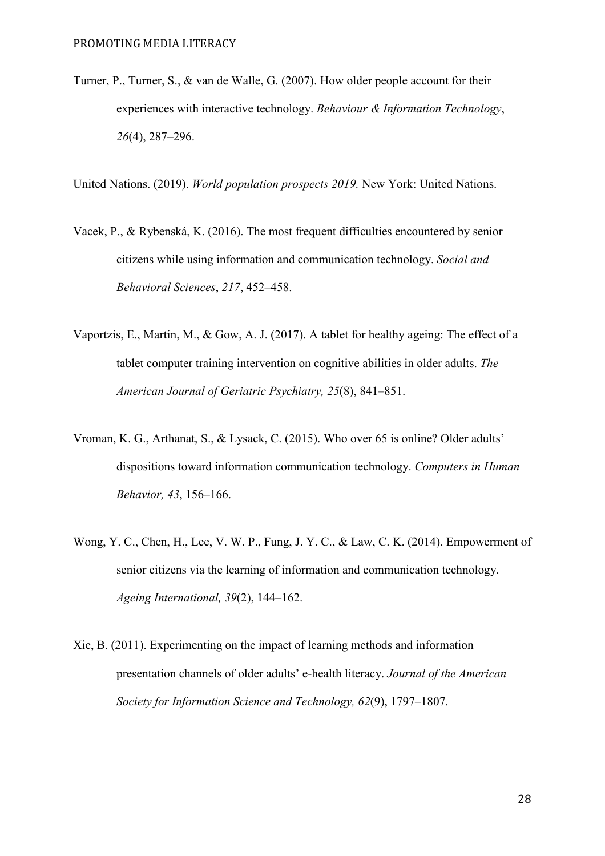Turner, P., Turner, S., & van de Walle, G. (2007). How older people account for their experiences with interactive technology. *Behaviour & Information Technology*, *26*(4), 287–296.

United Nations. (2019). *World population prospects 2019.* New York: United Nations.

- Vacek, P., & Rybenská, K. (2016). The most frequent difficulties encountered by senior citizens while using information and communication technology. *Social and Behavioral Sciences*, *217*, 452–458.
- Vaportzis, E., Martin, M., & Gow, A. J. (2017). A tablet for healthy ageing: The effect of a tablet computer training intervention on cognitive abilities in older adults. *The American Journal of Geriatric Psychiatry, 25*(8), 841–851.
- Vroman, K. G., Arthanat, S., & Lysack, C. (2015). Who over 65 is online? Older adults' dispositions toward information communication technology. *Computers in Human Behavior, 43*, 156–166.
- Wong, Y. C., Chen, H., Lee, V. W. P., Fung, J. Y. C., & Law, C. K. (2014). Empowerment of senior citizens via the learning of information and communication technology. *Ageing International, 39*(2), 144–162.
- Xie, B. (2011). Experimenting on the impact of learning methods and information presentation channels of older adults' e-health literacy. *Journal of the American Society for Information Science and Technology, 62*(9), 1797–1807.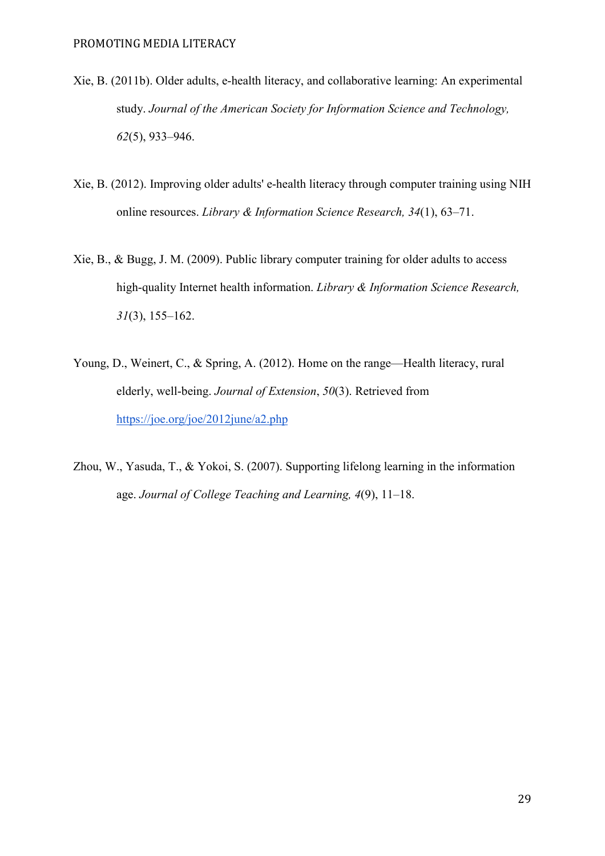- Xie, B. (2011b). Older adults, e-health literacy, and collaborative learning: An experimental study. *Journal of the American Society for Information Science and Technology, 62*(5), 933–946.
- Xie, B. (2012). Improving older adults' e-health literacy through computer training using NIH online resources. *Library & Information Science Research, 34*(1), 63–71.
- Xie, B., & Bugg, J. M. (2009). Public library computer training for older adults to access high-quality Internet health information. *Library & Information Science Research, 31*(3), 155–162.
- Young, D., Weinert, C., & Spring, A. (2012). Home on the range—Health literacy, rural elderly, well-being. *Journal of Extension*, *50*(3). Retrieved from <https://joe.org/joe/2012june/a2.php>
- Zhou, W., Yasuda, T., & Yokoi, S. (2007). Supporting lifelong learning in the information age. *Journal of College Teaching and Learning, 4*(9), 11–18.